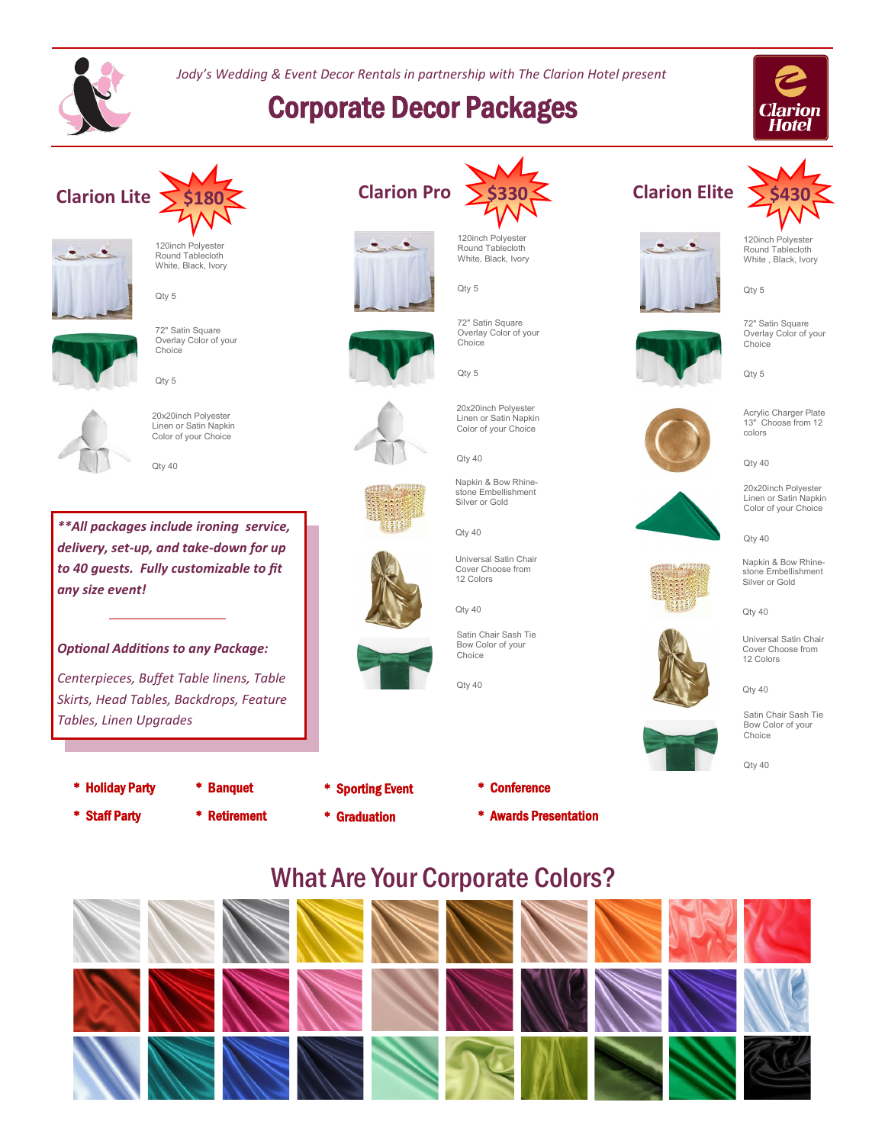

*Jody's Wedding & Event Decor Rentals in partnership with The Clarion Hotel present*

# Corporate Decor Packages





Round Tablecloth White, Black, Ivory

Qty 5

Qty 5

Qty 40



72" Satin Square Overlay Color of your **Choice** 



20x20inch Polyester Linen or Satin Napkin Color of your Choice

*\*\*All packages include ironing service, delivery, set-up, and take-down for up to 40 guests. Fully customizable to fit any size event!*

### *Optional Additions to any Package:*

*Centerpieces, Buffet Table linens, Table Skirts, Head Tables, Backdrops, Feature Tables, Linen Upgrades*

- \* Holiday Party
- \* Banquet
- \* Staff Party
- \* Retirement
- \* Sporting Event
- \* Graduation



120inch Polyester Round Tablecloth White, Black, Ivory

72" Satin Square Overlay Color of your

20x20inch Polyester Linen or Satin Napkin Color of your Choice

Qty 5

Choice

Qty 5













Qty 40 Universal Satin Chair Cover Choose from

Qty 40

Satin Chair Sash Tie Bow Color of your Choice







Qty 5

72" Satin Square Overlay Color of your Choice



Acrylic Charger Plate 13" Choose from 12 colors

 $Qtv 40$ 

20x20inch Polyester Linen or Satin Napkin Color of your Choice

Qty 40



#### Napkin & Bow Rhinestone Embellishment Silver or Gold

Qty 40

Universal Satin Chair Cover Choose from 12 Colors

Qty 40



Qty 40

## What Are Your Corporate Colors?





Silver or Gold

Qty 40

12 Colors

Qty 40

\* Awards Presentation

\* Conference